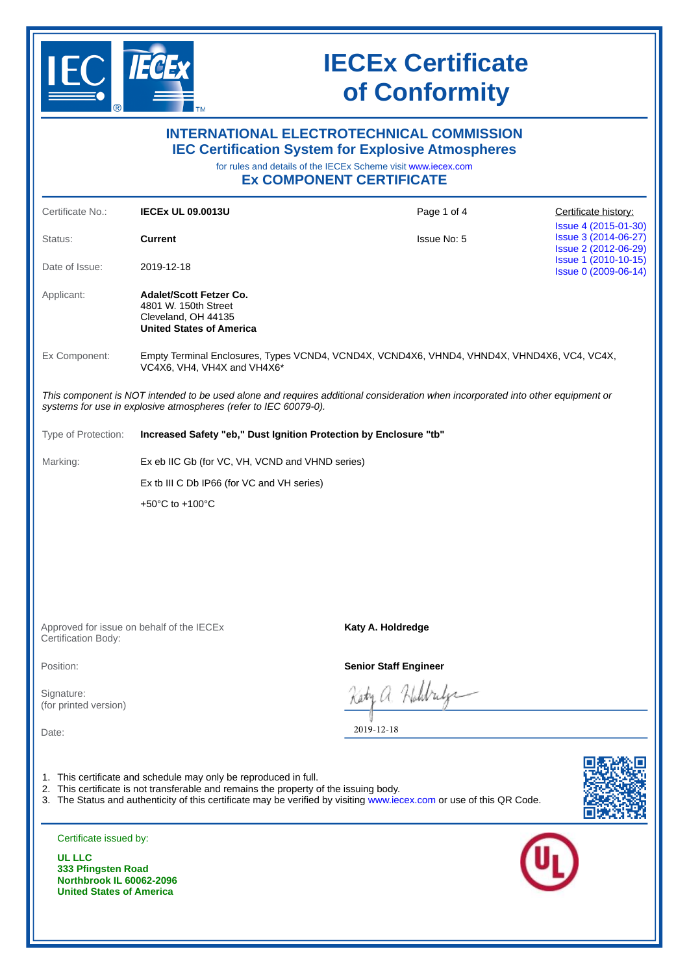

| <b>INTERNATIONAL ELECTROTECHNICAL COMMISSION</b><br><b>IEC Certification System for Explosive Atmospheres</b><br>for rules and details of the IECEx Scheme visit www.iecex.com<br><b>Ex COMPONENT CERTIFICATE</b> |                                                                                                                                                           |                                                                                                                                 |                                                                      |  |  |  |  |
|-------------------------------------------------------------------------------------------------------------------------------------------------------------------------------------------------------------------|-----------------------------------------------------------------------------------------------------------------------------------------------------------|---------------------------------------------------------------------------------------------------------------------------------|----------------------------------------------------------------------|--|--|--|--|
| Certificate No.:                                                                                                                                                                                                  | <b>IECEX UL 09.0013U</b>                                                                                                                                  | Page 1 of 4                                                                                                                     | Certificate history:                                                 |  |  |  |  |
| Status:                                                                                                                                                                                                           | <b>Current</b>                                                                                                                                            | Issue No: 5                                                                                                                     | Issue 4 (2015-01-30)<br>Issue 3 (2014-06-27)<br>Issue 2 (2012-06-29) |  |  |  |  |
| Date of Issue:                                                                                                                                                                                                    | 2019-12-18                                                                                                                                                |                                                                                                                                 | Issue 1 (2010-10-15)<br>Issue 0 (2009-06-14)                         |  |  |  |  |
| Applicant:                                                                                                                                                                                                        | <b>Adalet/Scott Fetzer Co.</b><br>4801 W. 150th Street<br>Cleveland, OH 44135<br><b>United States of America</b>                                          |                                                                                                                                 |                                                                      |  |  |  |  |
| Ex Component:                                                                                                                                                                                                     | Empty Terminal Enclosures, Types VCND4, VCND4X, VCND4X6, VHND4, VHND4X, VHND4X6, VC4, VC4X,<br>VC4X6, VH4, VH4X and VH4X6*                                |                                                                                                                                 |                                                                      |  |  |  |  |
|                                                                                                                                                                                                                   | systems for use in explosive atmospheres (refer to IEC 60079-0).                                                                                          | This component is NOT intended to be used alone and requires additional consideration when incorporated into other equipment or |                                                                      |  |  |  |  |
| Type of Protection:                                                                                                                                                                                               | Increased Safety "eb," Dust Ignition Protection by Enclosure "tb"                                                                                         |                                                                                                                                 |                                                                      |  |  |  |  |
| Marking:                                                                                                                                                                                                          | Ex eb IIC Gb (for VC, VH, VCND and VHND series)                                                                                                           |                                                                                                                                 |                                                                      |  |  |  |  |
|                                                                                                                                                                                                                   |                                                                                                                                                           | Ex tb III C Db IP66 (for VC and VH series)                                                                                      |                                                                      |  |  |  |  |
|                                                                                                                                                                                                                   | +50°C to +100°C                                                                                                                                           |                                                                                                                                 |                                                                      |  |  |  |  |
|                                                                                                                                                                                                                   | Approved for issue on behalf of the IECEX                                                                                                                 | Katy A. Holdredge                                                                                                               |                                                                      |  |  |  |  |
| Certification Body:                                                                                                                                                                                               |                                                                                                                                                           |                                                                                                                                 |                                                                      |  |  |  |  |
| Position:                                                                                                                                                                                                         |                                                                                                                                                           |                                                                                                                                 | <b>Senior Staff Engineer</b>                                         |  |  |  |  |
| Signature:<br>(for printed version)                                                                                                                                                                               |                                                                                                                                                           | a Holdrife<br>2019-12-18                                                                                                        |                                                                      |  |  |  |  |
| Date:                                                                                                                                                                                                             | 1. This certificate and schedule may only be reproduced in full.<br>2. This certificate is not transferable and remains the property of the issuing body. | 3. The Status and authenticity of this certificate may be verified by visiting www.iecex.com or use of this QR Code.            |                                                                      |  |  |  |  |
| Certificate issued by:                                                                                                                                                                                            |                                                                                                                                                           |                                                                                                                                 |                                                                      |  |  |  |  |
| <b>UL LLC</b><br>333 Pfingsten Road<br>Northbrook IL 60062-2096<br><b>United States of America</b>                                                                                                                |                                                                                                                                                           |                                                                                                                                 |                                                                      |  |  |  |  |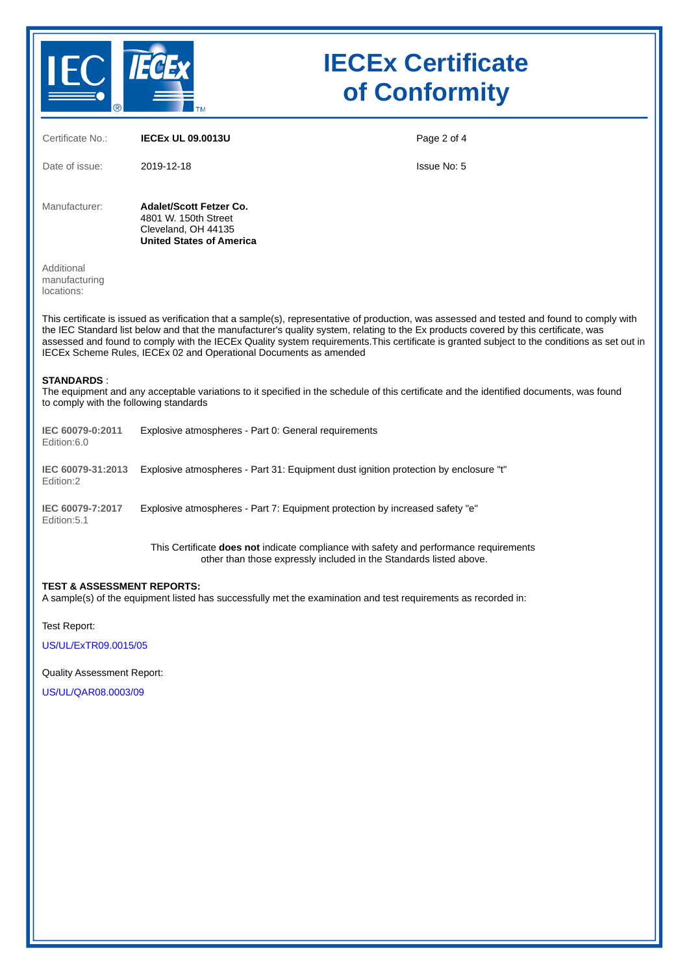

| Certificate No.:                                                                                                                                                                                                                                                                                                                                                                                                                                                                                         | <b>IECEX UL 09.0013U</b>                                                                                                                                     | Page 2 of 4        |  |  |  |
|----------------------------------------------------------------------------------------------------------------------------------------------------------------------------------------------------------------------------------------------------------------------------------------------------------------------------------------------------------------------------------------------------------------------------------------------------------------------------------------------------------|--------------------------------------------------------------------------------------------------------------------------------------------------------------|--------------------|--|--|--|
| Date of issue:                                                                                                                                                                                                                                                                                                                                                                                                                                                                                           | 2019-12-18                                                                                                                                                   | <b>Issue No: 5</b> |  |  |  |
| Manufacturer:                                                                                                                                                                                                                                                                                                                                                                                                                                                                                            | <b>Adalet/Scott Fetzer Co.</b><br>4801 W. 150th Street<br>Cleveland, OH 44135<br><b>United States of America</b>                                             |                    |  |  |  |
| Additional<br>manufacturing<br>locations:                                                                                                                                                                                                                                                                                                                                                                                                                                                                |                                                                                                                                                              |                    |  |  |  |
| This certificate is issued as verification that a sample(s), representative of production, was assessed and tested and found to comply with<br>the IEC Standard list below and that the manufacturer's quality system, relating to the Ex products covered by this certificate, was<br>assessed and found to comply with the IECEx Quality system requirements. This certificate is granted subject to the conditions as set out in<br>IECEx Scheme Rules, IECEx 02 and Operational Documents as amended |                                                                                                                                                              |                    |  |  |  |
| <b>STANDARDS:</b><br>The equipment and any acceptable variations to it specified in the schedule of this certificate and the identified documents, was found<br>to comply with the following standards                                                                                                                                                                                                                                                                                                   |                                                                                                                                                              |                    |  |  |  |
| IEC 60079-0:2011<br>Edition:6.0                                                                                                                                                                                                                                                                                                                                                                                                                                                                          | Explosive atmospheres - Part 0: General requirements                                                                                                         |                    |  |  |  |
| IEC 60079-31:2013<br>Edition:2                                                                                                                                                                                                                                                                                                                                                                                                                                                                           | Explosive atmospheres - Part 31: Equipment dust ignition protection by enclosure "t"                                                                         |                    |  |  |  |
| IEC 60079-7:2017<br>Edition: 5.1                                                                                                                                                                                                                                                                                                                                                                                                                                                                         | Explosive atmospheres - Part 7: Equipment protection by increased safety "e"                                                                                 |                    |  |  |  |
|                                                                                                                                                                                                                                                                                                                                                                                                                                                                                                          | This Certificate does not indicate compliance with safety and performance requirements<br>other than those expressly included in the Standards listed above. |                    |  |  |  |
| <b>TEST &amp; ASSESSMENT REPORTS:</b><br>A sample(s) of the equipment listed has successfully met the examination and test requirements as recorded in:                                                                                                                                                                                                                                                                                                                                                  |                                                                                                                                                              |                    |  |  |  |

Test Report:

[US/UL/ExTR09.0015/05](https://www.iecex-certs.com/deliverables/REPORT/61874/view)

Quality Assessment Report:

[US/UL/QAR08.0003/09](https://www.iecex-certs.com/deliverables/REPORT/61366/view)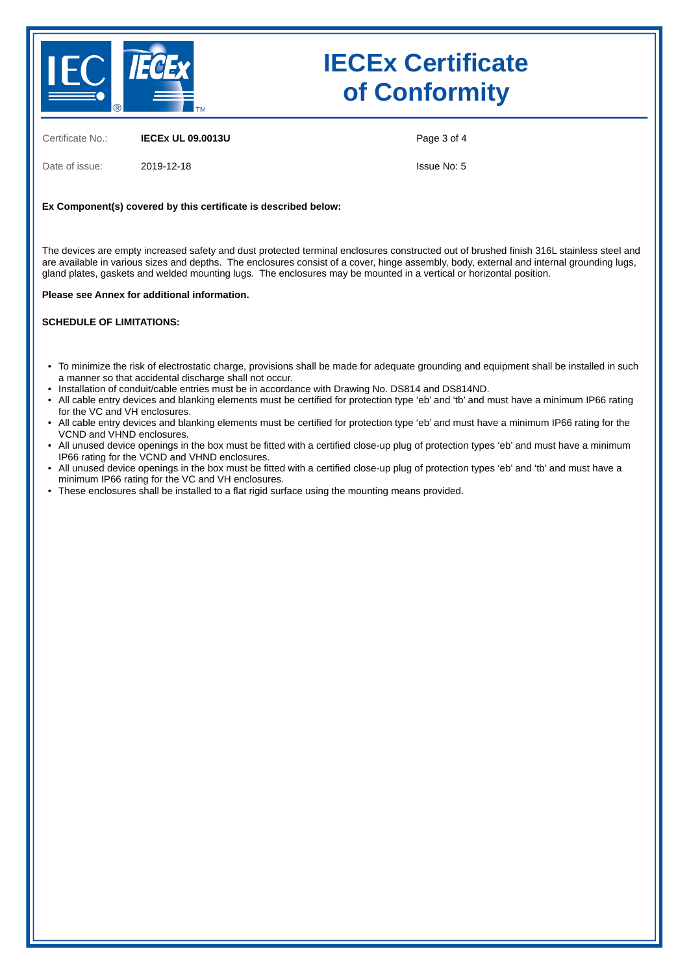

Certificate No.: **IECEx UL 09.0013U**

Date of issue: 2019-12-18

Page 3 of 4

Issue No: 5

#### **Ex Component(s) covered by this certificate is described below:**

The devices are empty increased safety and dust protected terminal enclosures constructed out of brushed finish 316L stainless steel and are available in various sizes and depths. The enclosures consist of a cover, hinge assembly, body, external and internal grounding lugs, gland plates, gaskets and welded mounting lugs. The enclosures may be mounted in a vertical or horizontal position.

#### **Please see Annex for additional information.**

#### **SCHEDULE OF LIMITATIONS:**

- To minimize the risk of electrostatic charge, provisions shall be made for adequate grounding and equipment shall be installed in such a manner so that accidental discharge shall not occur.
- Installation of conduit/cable entries must be in accordance with Drawing No. DS814 and DS814ND.
- All cable entry devices and blanking elements must be certified for protection type 'eb' and 'tb' and must have a minimum IP66 rating for the VC and VH enclosures.
- All cable entry devices and blanking elements must be certified for protection type 'eb' and must have a minimum IP66 rating for the VCND and VHND enclosures.
- All unused device openings in the box must be fitted with a certified close-up plug of protection types 'eb' and must have a minimum IP66 rating for the VCND and VHND enclosures.
- All unused device openings in the box must be fitted with a certified close-up plug of protection types 'eb' and 'tb' and must have a minimum IP66 rating for the VC and VH enclosures.
- These enclosures shall be installed to a flat rigid surface using the mounting means provided.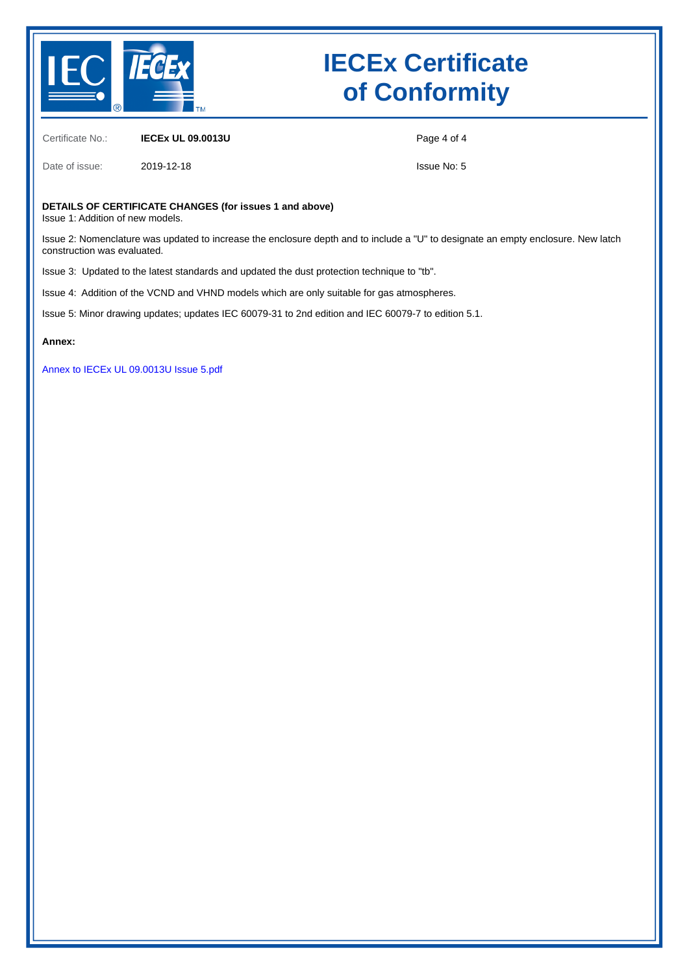

Certificate No.: **IECEx UL 09.0013U**

Date of issue: 2019-12-18

Page 4 of 4

Issue No: 5

### **DETAILS OF CERTIFICATE CHANGES (for issues 1 and above)**

Issue 1: Addition of new models.

Issue 2: Nomenclature was updated to increase the enclosure depth and to include a "U" to designate an empty enclosure. New latch construction was evaluated.

Issue 3: Updated to the latest standards and updated the dust protection technique to "tb".

Issue 4: Addition of the VCND and VHND models which are only suitable for gas atmospheres.

Issue 5: Minor drawing updates; updates IEC 60079-31 to 2nd edition and IEC 60079-7 to edition 5.1.

**Annex:**

[Annex to IECEx UL 09.0013U Issue 5.pdf](https://www.iecex-certs.com/deliverables/CERT/45376/view)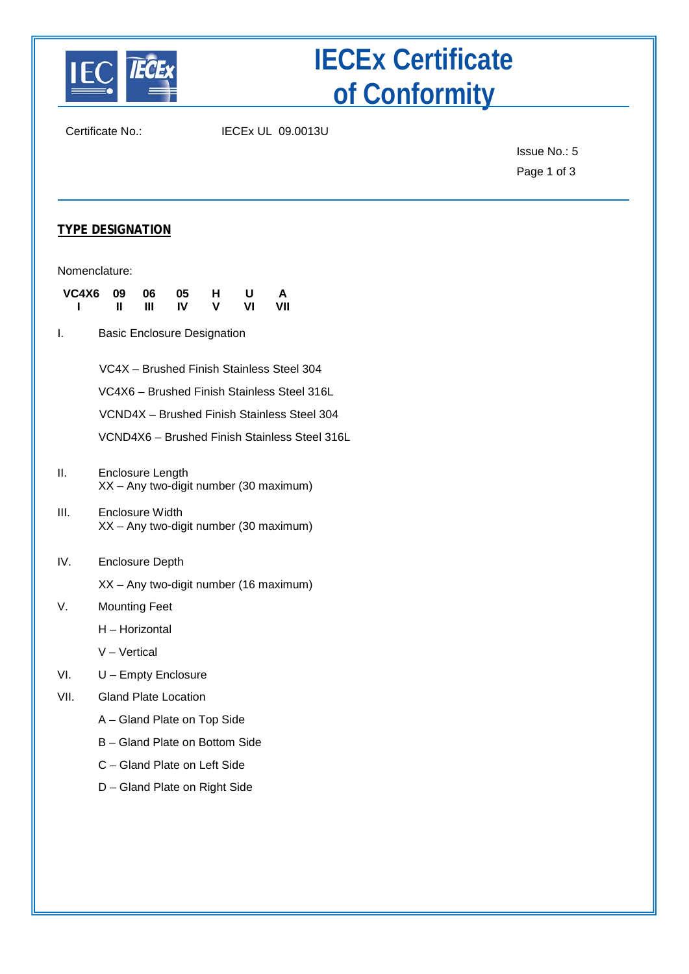

Certificate No.: IECEx UL 09.0013U

Issue No.: 5 Page 1 of 3

### **TYPE DESIGNATION**

| VC4X6<br>ı | 09<br>Ш                                                                                  | 06<br>Ш | 05<br>IV | н<br>v | U<br>VI | А<br>VII |                                               |
|------------|------------------------------------------------------------------------------------------|---------|----------|--------|---------|----------|-----------------------------------------------|
| I.         | <b>Basic Enclosure Designation</b>                                                       |         |          |        |         |          |                                               |
|            | VC4X - Brushed Finish Stainless Steel 304<br>VC4X6 - Brushed Finish Stainless Steel 316L |         |          |        |         |          | VCND4X - Brushed Finish Stainless Steel 304   |
| ΙΙ.        | Enclosure Length<br>XX - Any two-digit number (30 maximum)                               |         |          |        |         |          | VCND4X6 - Brushed Finish Stainless Steel 316L |
| III.       | Enclosure Width<br>XX - Any two-digit number (30 maximum)                                |         |          |        |         |          |                                               |
| IV.        | <b>Enclosure Depth</b>                                                                   |         |          |        |         |          |                                               |
|            | XX - Any two-digit number (16 maximum)                                                   |         |          |        |         |          |                                               |
| V.         | <b>Mounting Feet</b>                                                                     |         |          |        |         |          |                                               |
|            | H - Horizontal                                                                           |         |          |        |         |          |                                               |
|            | V - Vertical                                                                             |         |          |        |         |          |                                               |
| VI.        | U - Empty Enclosure                                                                      |         |          |        |         |          |                                               |
| VII.       | <b>Gland Plate Location</b>                                                              |         |          |        |         |          |                                               |
|            | A – Gland Plate on Top Side                                                              |         |          |        |         |          |                                               |
|            | B – Gland Plate on Bottom Side                                                           |         |          |        |         |          |                                               |
|            | C - Gland Plate on Left Side                                                             |         |          |        |         |          |                                               |
|            | D - Gland Plate on Right Side                                                            |         |          |        |         |          |                                               |
|            |                                                                                          |         |          |        |         |          |                                               |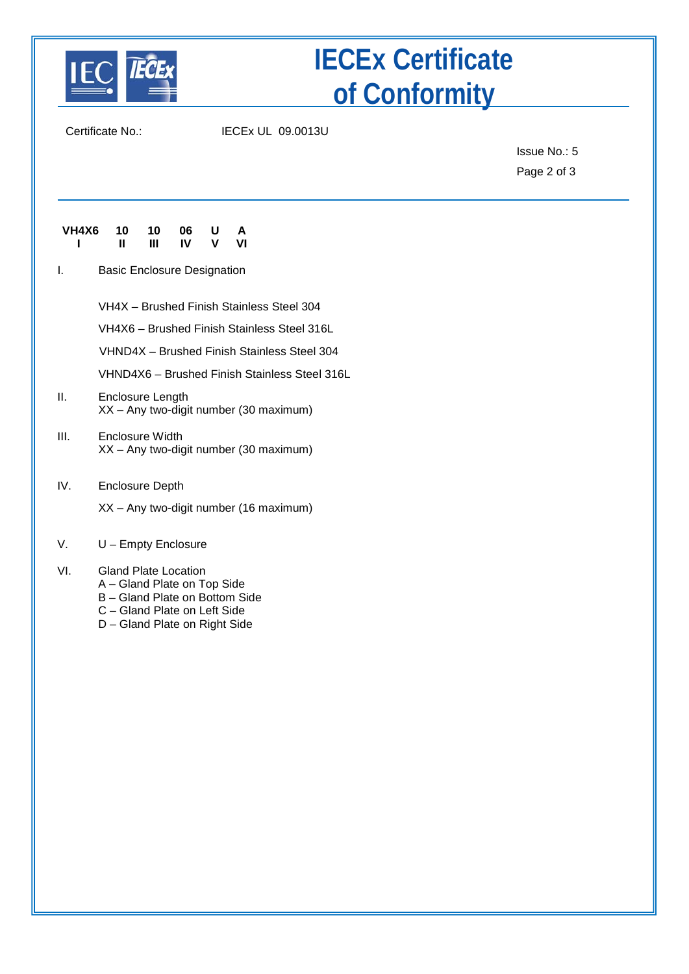

Certificate No.: IECEx UL 09.0013U

Issue No.: 5 Page 2 of 3

| VH4X6 10 10 06 U A |   |   |     |              |    |
|--------------------|---|---|-----|--------------|----|
|                    | Ш | Ш | IV. | $\mathsf{v}$ | VI |

I. Basic Enclosure Designation

VH4X – Brushed Finish Stainless Steel 304

VH4X6 – Brushed Finish Stainless Steel 316L

VHND4X – Brushed Finish Stainless Steel 304

VHND4X6 – Brushed Finish Stainless Steel 316L

II. Enclosure Length XX – Any two-digit number (30 maximum)

### III. Enclosure Width XX – Any two-digit number (30 maximum)

- IV. Enclosure Depth
	- XX Any two-digit number (16 maximum)

### V. U – Empty Enclosure

### VI. Gland Plate Location

- A Gland Plate on Top Side
- B Gland Plate on Bottom Side
- C Gland Plate on Left Side
- D Gland Plate on Right Side